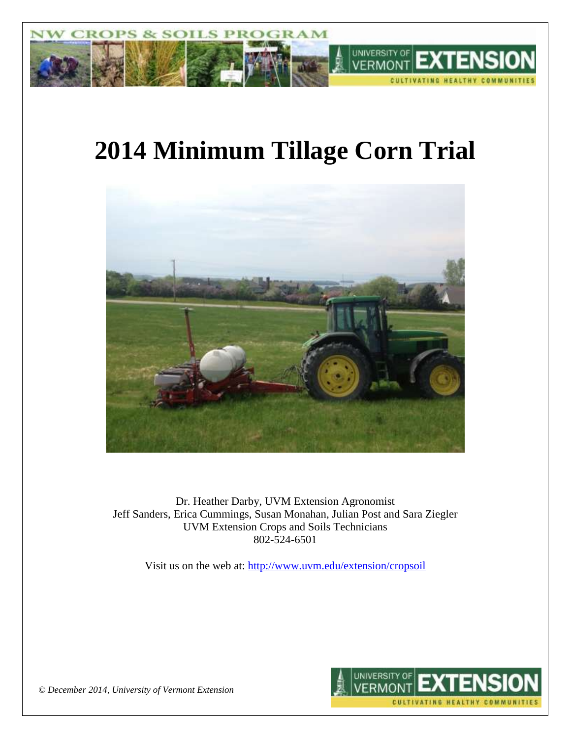

# **2014 Minimum Tillage Corn Trial**



Dr. Heather Darby, UVM Extension Agronomist Jeff Sanders, Erica Cummings, Susan Monahan, Julian Post and Sara Ziegler UVM Extension Crops and Soils Technicians 802-524-6501

Visit us on the web at: <http://www.uvm.edu/extension/cropsoil>



*© December 2014, University of Vermont Extension*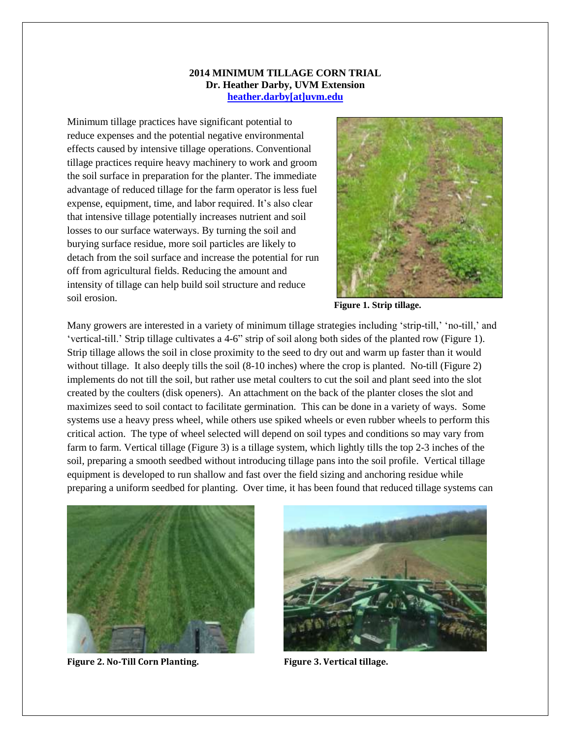#### **2014 MINIMUM TILLAGE CORN TRIAL Dr. Heather Darby, UVM Extension [heather.darby\[at\]uvm.edu](mailto:heather.darby@uvm.edu)**

Minimum tillage practices have significant potential to reduce expenses and the potential negative environmental effects caused by intensive tillage operations. Conventional tillage practices require heavy machinery to work and groom the soil surface in preparation for the planter. The immediate advantage of reduced tillage for the farm operator is less fuel expense, equipment, time, and labor required. It's also clear that intensive tillage potentially increases nutrient and soil losses to our surface waterways. By turning the soil and burying surface residue, more soil particles are likely to detach from the soil surface and increase the potential for run off from agricultural fields. Reducing the amount and intensity of tillage can help build soil structure and reduce soil erosion.



**Figure 1. Strip tillage.**

Many growers are interested in a variety of minimum tillage strategies including 'strip-till,' 'no-till,' and 'vertical-till.' Strip tillage cultivates a 4-6" strip of soil along both sides of the planted row (Figure 1). Strip tillage allows the soil in close proximity to the seed to dry out and warm up faster than it would without tillage. It also deeply tills the soil (8-10 inches) where the crop is planted. No-till (Figure 2) implements do not till the soil, but rather use metal coulters to cut the soil and plant seed into the slot created by the coulters (disk openers). An attachment on the back of the planter closes the slot and maximizes seed to soil contact to facilitate germination. This can be done in a variety of ways. Some systems use a heavy press wheel, while others use spiked wheels or even rubber wheels to perform this critical action. The type of wheel selected will depend on soil types and conditions so may vary from farm to farm. Vertical tillage (Figure 3) is a tillage system, which lightly tills the top 2-3 inches of the soil, preparing a smooth seedbed without introducing tillage pans into the soil profile. Vertical tillage equipment is developed to run shallow and fast over the field sizing and anchoring residue while preparing a uniform seedbed for planting. Over time, it has been found that reduced tillage systems can



**Figure 2. No-Till Corn Planting. Figure 3. Vertical tillage.**

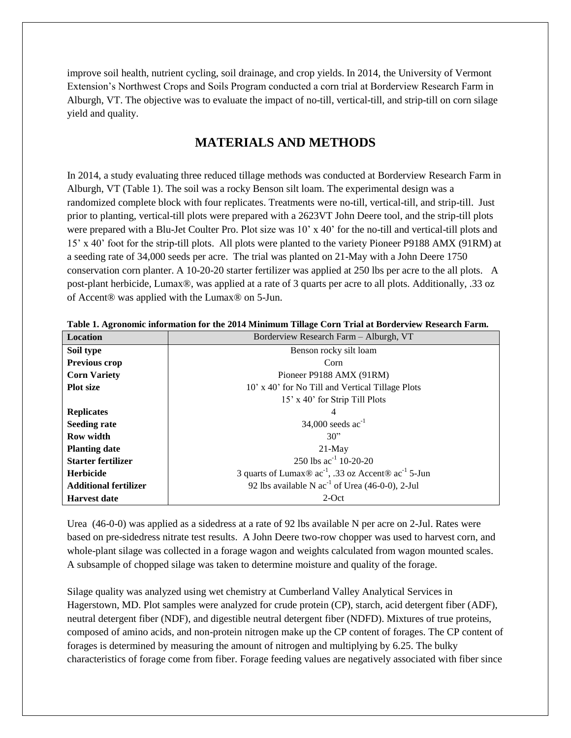improve soil health, nutrient cycling, soil drainage, and crop yields. In 2014, the University of Vermont Extension's Northwest Crops and Soils Program conducted a corn trial at Borderview Research Farm in Alburgh, VT. The objective was to evaluate the impact of no-till, vertical-till, and strip-till on corn silage yield and quality.

# **MATERIALS AND METHODS**

In 2014, a study evaluating three reduced tillage methods was conducted at Borderview Research Farm in Alburgh, VT (Table 1). The soil was a rocky Benson silt loam. The experimental design was a randomized complete block with four replicates. Treatments were no-till, vertical-till, and strip-till. Just prior to planting, vertical-till plots were prepared with a 2623VT John Deere tool, and the strip-till plots were prepared with a Blu-Jet Coulter Pro. Plot size was 10' x 40' for the no-till and vertical-till plots and 15' x 40' foot for the strip-till plots. All plots were planted to the variety Pioneer P9188 AMX (91RM) at a seeding rate of 34,000 seeds per acre. The trial was planted on 21-May with a John Deere 1750 conservation corn planter. A 10-20-20 starter fertilizer was applied at 250 lbs per acre to the all plots. A post-plant herbicide, Lumax®, was applied at a rate of 3 quarts per acre to all plots. Additionally, .33 oz of Accent® was applied with the Lumax® on 5-Jun.

| <b>Location</b>              | Borderview Research Farm - Alburgh, VT                                                                |
|------------------------------|-------------------------------------------------------------------------------------------------------|
| Soil type                    | Benson rocky silt loam                                                                                |
| <b>Previous crop</b>         | Corn                                                                                                  |
| <b>Corn Variety</b>          | Pioneer P9188 AMX (91RM)                                                                              |
| <b>Plot</b> size             | 10' x 40' for No Till and Vertical Tillage Plots                                                      |
|                              | 15' x 40' for Strip Till Plots                                                                        |
| <b>Replicates</b>            | 4                                                                                                     |
| <b>Seeding rate</b>          | 34,000 seeds $ac^{-1}$                                                                                |
| <b>Row width</b>             | 30"                                                                                                   |
| <b>Planting date</b>         | $21$ -May                                                                                             |
| <b>Starter fertilizer</b>    | 250 lbs $ac^{-1}$ 10-20-20                                                                            |
| <b>Herbicide</b>             | 3 quarts of Lumax $\mathcal{D}$ ac <sup>-1</sup> , .33 oz Accent $\mathcal{D}$ ac <sup>-1</sup> 5-Jun |
| <b>Additional fertilizer</b> | 92 lbs available N $ac^{-1}$ of Urea (46-0-0), 2-Jul                                                  |
| <b>Harvest date</b>          | $2$ -Oct                                                                                              |

**Table 1. Agronomic information for the 2014 Minimum Tillage Corn Trial at Borderview Research Farm.**

Urea (46-0-0) was applied as a sidedress at a rate of 92 lbs available N per acre on 2-Jul. Rates were based on pre-sidedress nitrate test results. A John Deere two-row chopper was used to harvest corn, and whole-plant silage was collected in a forage wagon and weights calculated from wagon mounted scales. A subsample of chopped silage was taken to determine moisture and quality of the forage.

Silage quality was analyzed using wet chemistry at Cumberland Valley Analytical Services in Hagerstown, MD. Plot samples were analyzed for crude protein (CP), starch, acid detergent fiber (ADF), neutral detergent fiber (NDF), and digestible neutral detergent fiber (NDFD). Mixtures of true proteins, composed of amino acids, and non-protein nitrogen make up the CP content of forages. The CP content of forages is determined by measuring the amount of nitrogen and multiplying by 6.25. The bulky characteristics of forage come from fiber. Forage feeding values are negatively associated with fiber since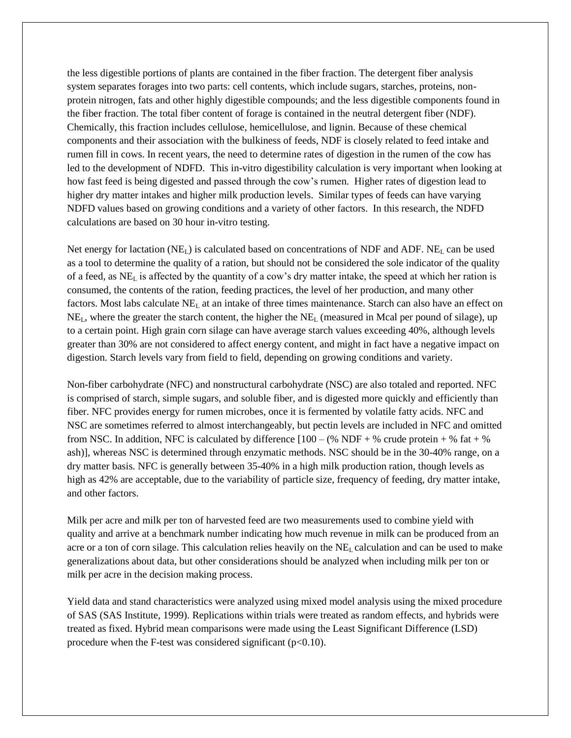the less digestible portions of plants are contained in the fiber fraction. The detergent fiber analysis system separates forages into two parts: cell contents, which include sugars, starches, proteins, nonprotein nitrogen, fats and other highly digestible compounds; and the less digestible components found in the fiber fraction. The total fiber content of forage is contained in the neutral detergent fiber (NDF). Chemically, this fraction includes cellulose, hemicellulose, and lignin. Because of these chemical components and their association with the bulkiness of feeds, NDF is closely related to feed intake and rumen fill in cows. In recent years, the need to determine rates of digestion in the rumen of the cow has led to the development of NDFD. This in-vitro digestibility calculation is very important when looking at how fast feed is being digested and passed through the cow's rumen. Higher rates of digestion lead to higher dry matter intakes and higher milk production levels. Similar types of feeds can have varying NDFD values based on growing conditions and a variety of other factors. In this research, the NDFD calculations are based on 30 hour in-vitro testing.

Net energy for lactation  $(NE_L)$  is calculated based on concentrations of NDF and ADF. NE<sub>L</sub> can be used as a tool to determine the quality of a ration, but should not be considered the sole indicator of the quality of a feed, as  $NE<sub>L</sub>$  is affected by the quantity of a cow's dry matter intake, the speed at which her ration is consumed, the contents of the ration, feeding practices, the level of her production, and many other factors. Most labs calculate NE<sup>L</sup> at an intake of three times maintenance. Starch can also have an effect on NEL, where the greater the starch content, the higher the NE<sup>L</sup> (measured in Mcal per pound of silage), up to a certain point. High grain corn silage can have average starch values exceeding 40%, although levels greater than 30% are not considered to affect energy content, and might in fact have a negative impact on digestion. Starch levels vary from field to field, depending on growing conditions and variety.

Non-fiber carbohydrate (NFC) and nonstructural carbohydrate (NSC) are also totaled and reported. NFC is comprised of starch, simple sugars, and soluble fiber, and is digested more quickly and efficiently than fiber. NFC provides energy for rumen microbes, once it is fermented by volatile fatty acids. NFC and NSC are sometimes referred to almost interchangeably, but pectin levels are included in NFC and omitted from NSC. In addition, NFC is calculated by difference  $[100 - (\% \text{ NDF} + \% \text{ crude protein} + \% \text{ fat} + \% \text{)}]$ ash)], whereas NSC is determined through enzymatic methods. NSC should be in the 30-40% range, on a dry matter basis. NFC is generally between 35-40% in a high milk production ration, though levels as high as 42% are acceptable, due to the variability of particle size, frequency of feeding, dry matter intake, and other factors.

Milk per acre and milk per ton of harvested feed are two measurements used to combine yield with quality and arrive at a benchmark number indicating how much revenue in milk can be produced from an acre or a ton of corn silage. This calculation relies heavily on the NE<sup>L</sup> calculation and can be used to make generalizations about data, but other considerations should be analyzed when including milk per ton or milk per acre in the decision making process.

Yield data and stand characteristics were analyzed using mixed model analysis using the mixed procedure of SAS (SAS Institute, 1999). Replications within trials were treated as random effects, and hybrids were treated as fixed. Hybrid mean comparisons were made using the Least Significant Difference (LSD) procedure when the F-test was considered significant  $(p<0.10)$ .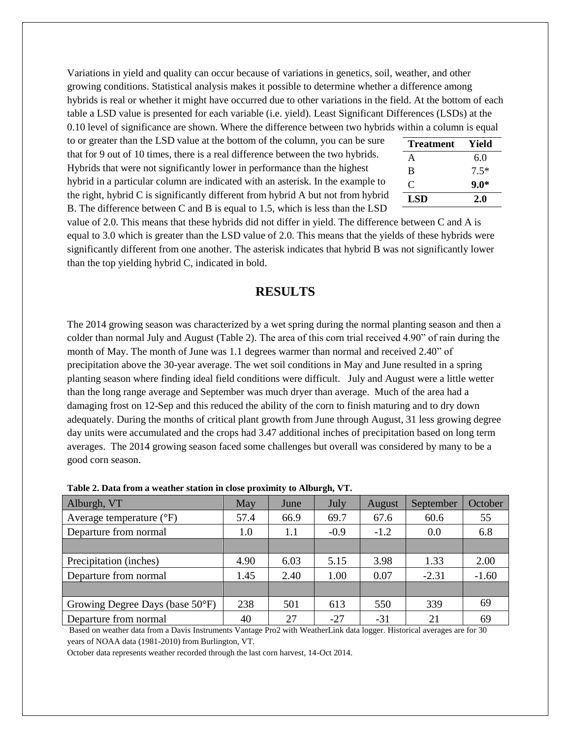Variations in yield and quality can occur because of variations in genetics, soil, weather, and other growing conditions. Statistical analysis makes it possible to determine whether a difference among hybrids is real or whether it might have occurred due to other variations in the field. At the bottom of each table a LSD value is presented for each variable (i.e. yield). Least Significant Differences (LSDs) at the 0.10 level of significance are shown. Where the difference between two hybrids within a column is equal

to or greater than the LSD value at the bottom of the column, you can be sure that for 9 out of 10 times, there is a real difference between the two hybrids. Hybrids that were not significantly lower in performance than the highest hybrid in a particular column are indicated with an asterisk. In the example to the right, hybrid C is significantly different from hybrid A but not from hybrid B. The difference between C and B is equal to 1.5, which is less than the LSD

| Yield  |
|--------|
| 6.0    |
| $7.5*$ |
| $9.0*$ |
| 2.0    |
|        |

value of 2.0. This means that these hybrids did not differ in yield. The difference between C and A is equal to 3.0 which is greater than the LSD value of 2.0. This means that the yields of these hybrids were significantly different from one another. The asterisk indicates that hybrid B was not significantly lower than the top yielding hybrid C, indicated in bold.

## **RESULTS**

The 2014 growing season was characterized by a wet spring during the normal planting season and then a colder than normal July and August (Table 2). The area of this corn trial received 4.90" of rain during the month of May. The month of June was 1.1 degrees warmer than normal and received 2.40" of precipitation above the 30-year average. The wet soil conditions in May and June resulted in a spring planting season where finding ideal field conditions were difficult. July and August were a little wetter than the long range average and September was much dryer than average. Much of the area had a damaging frost on 12-Sep and this reduced the ability of the corn to finish maturing and to dry down adequately. During the months of critical plant growth from June through August, 31 less growing degree day units were accumulated and the crops had 3.47 additional inches of precipitation based on long term averages. The 2014 growing season faced some challenges but overall was considered by many to be a good corn season.

| Alburgh, VT                               | May  | June | July   | August | September | October |
|-------------------------------------------|------|------|--------|--------|-----------|---------|
| Average temperature $({}^{\circ}F)$       | 57.4 | 66.9 | 69.7   | 67.6   | 60.6      | 55      |
| Departure from normal                     | 1.0  | 1.1  | $-0.9$ | $-1.2$ | 0.0       | 6.8     |
|                                           |      |      |        |        |           |         |
| Precipitation (inches)                    | 4.90 | 6.03 | 5.15   | 3.98   | 1.33      | 2.00    |
| Departure from normal                     | 1.45 | 2.40 | 1.00   | 0.07   | $-2.31$   | $-1.60$ |
|                                           |      |      |        |        |           |         |
| Growing Degree Days (base $50^{\circ}$ F) | 238  | 501  | 613    | 550    | 339       | 69      |
| Departure from normal                     | 40   | 27   | $-27$  | $-31$  | 21        | 69      |

|  | Table 2. Data from a weather station in close proximity to Alburgh, VT. |  |  |  |
|--|-------------------------------------------------------------------------|--|--|--|
|--|-------------------------------------------------------------------------|--|--|--|

Based on weather data from a Davis Instruments Vantage Pro2 with WeatherLink data logger. Historical averages are for 30 years of NOAA data (1981-2010) from Burlington, VT.

October data represents weather recorded through the last corn harvest, 14-Oct 2014.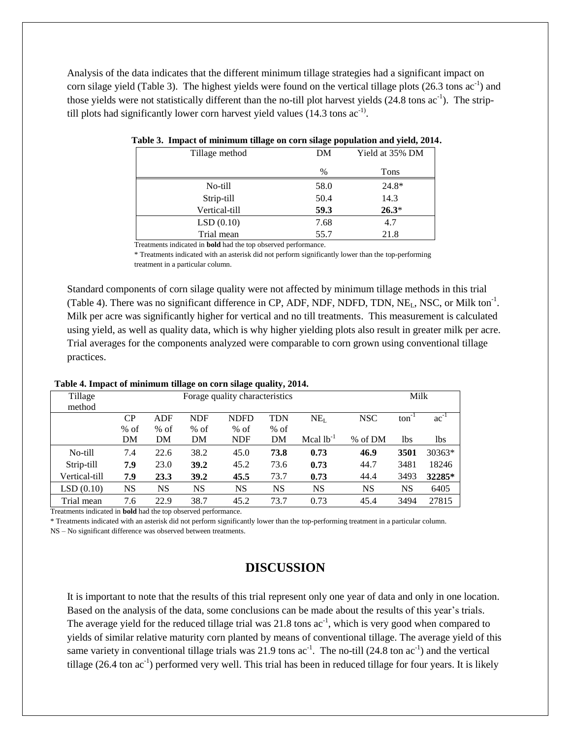Analysis of the data indicates that the different minimum tillage strategies had a significant impact on corn silage yield (Table 3). The highest yields were found on the vertical tillage plots  $(26.3 \text{ tons } ac^{-1})$  and those yields were not statistically different than the no-till plot harvest yields  $(24.8 \text{ tons } ac^{-1})$ . The striptill plots had significantly lower corn harvest yield values  $(14.3 \text{ tons ac}^{-1})$ .

| Tillage method | DM             | Yield at 35% DM |
|----------------|----------------|-----------------|
|                | $\frac{0}{0}$  | Tons            |
| No-till        | 58.0           | $24.8*$         |
| Strip-till     | 50.4           | 14.3            |
| Vertical-till  | 59.3           | $26.3*$         |
| LSD(0.10)      | 7.68           | 4.7             |
| Trial mean     | 55.7           | 21.8            |
| $\mathbf{1}$   | $\overline{c}$ |                 |

| Table 3. Impact of minimum tillage on corn silage population and yield, 2014. |  |  |  |
|-------------------------------------------------------------------------------|--|--|--|
|                                                                               |  |  |  |

Treatments indicated in **bold** had the top observed performance.

\* Treatments indicated with an asterisk did not perform significantly lower than the top-performing treatment in a particular column.

Standard components of corn silage quality were not affected by minimum tillage methods in this trial (Table 4). There was no significant difference in CP, ADF, NDF, NDFD, TDN, NE<sub>L</sub>, NSC, or Milk ton<sup>-1</sup>. Milk per acre was significantly higher for vertical and no till treatments. This measurement is calculated using yield, as well as quality data, which is why higher yielding plots also result in greater milk per acre. Trial averages for the components analyzed were comparable to corn grown using conventional tillage practices.

| таріс ¬. пирасі от пипинині пиадс он соги знадс диангу, 201¬. |                                |           |            |             |        |                |            |                   |           |
|---------------------------------------------------------------|--------------------------------|-----------|------------|-------------|--------|----------------|------------|-------------------|-----------|
| Tillage                                                       | Forage quality characteristics |           |            |             |        |                |            | Milk              |           |
| method                                                        |                                |           |            |             |        |                |            |                   |           |
|                                                               | CР                             | ADF       | <b>NDF</b> | <b>NDFD</b> | TDN    | $NE_{I}$       | <b>NSC</b> | $\text{ton}^{-1}$ | $ac^{-1}$ |
|                                                               | $%$ of                         | $%$ of    | $%$ of     | $%$ of      | $%$ of |                |            |                   |           |
|                                                               | DM                             | DM        | DM         | <b>NDF</b>  | DM     | Mcal $lb^{-1}$ | % of DM    | 1bs               | lbs.      |
| No-till                                                       | 7.4                            | 22.6      | 38.2       | 45.0        | 73.8   | 0.73           | 46.9       | 3501              | 30363*    |
| Strip-till                                                    | 7.9                            | 23.0      | 39.2       | 45.2        | 73.6   | 0.73           | 44.7       | 3481              | 18246     |
| Vertical-till                                                 | 7.9                            | 23.3      | 39.2       | 45.5        | 73.7   | 0.73           | 44.4       | 3493              | 32285*    |
| LSD(0.10)                                                     | NS                             | <b>NS</b> | <b>NS</b>  | NS          | NS     | <b>NS</b>      | <b>NS</b>  | <b>NS</b>         | 6405      |
| Trial mean                                                    | 7.6                            | 22.9      | 38.7       | 45.2        | 73.7   | 0.73           | 45.4       | 3494              | 27815     |

#### **Table 4. Impact of minimum tillage on corn silage quality, 2014.**

Treatments indicated in **bold** had the top observed performance.

\* Treatments indicated with an asterisk did not perform significantly lower than the top-performing treatment in a particular column.

NS – No significant difference was observed between treatments.

## **DISCUSSION**

It is important to note that the results of this trial represent only one year of data and only in one location. Based on the analysis of the data, some conclusions can be made about the results of this year's trials. The average yield for the reduced tillage trial was 21.8 tons  $ac^{-1}$ , which is very good when compared to yields of similar relative maturity corn planted by means of conventional tillage. The average yield of this same variety in conventional tillage trials was 21.9 tons  $ac^{-1}$ . The no-till (24.8 ton  $ac^{-1}$ ) and the vertical tillage  $(26.4 \text{ ton } ac^{-1})$  performed very well. This trial has been in reduced tillage for four years. It is likely